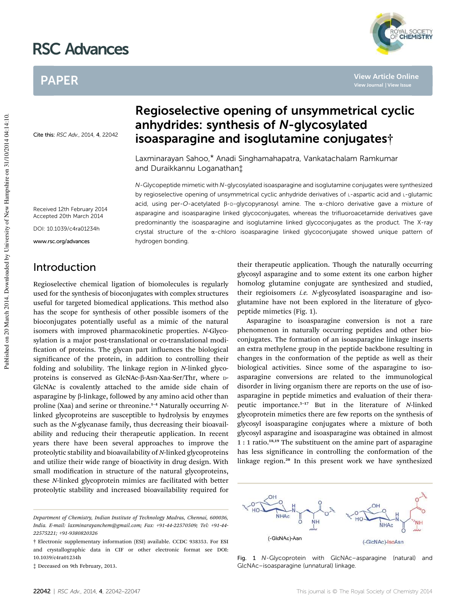# RSC Advances

# PAPER

Cite this: RSC Adv., 2014, 4, 22042

# Regioselective opening of unsymmetrical cyclic anhydrides: synthesis of N-glycosylated isoasparagine and isoglutamine conjugates†

Laxminarayan Sahoo,\* Anadi Singhamahapatra, Vankatachalam Ramkumar and Duraikkannu Loganathan‡

N-Glycopeptide mimetic with N-glycosylated isoasparagine and isoglutamine conjugates were synthesized by regioselective opening of unsymmetrical cyclic anhydride derivatives of L-aspartic acid and L-glutamic acid, using per-O-acetylated  $\beta$ -D-glycopyranosyl amine. The  $\alpha$ -chloro derivative gave a mixture of asparagine and isoasparagine linked glycoconjugates, whereas the trifluoroacetamide derivatives gave predominantly the isoasparagine and isoglutamine linked glycoconjugates as the product. The X-ray crystal structure of the  $\alpha$ -chloro isoasparagine linked glycoconjugate showed unique pattern of hydrogen bonding.

Received 12th February 2014 Accepted 20th March 2014

DOI: 10.1039/c4ra01234h

www.rsc.org/advances

## Introduction

Regioselective chemical ligation of biomolecules is regularly used for the synthesis of bioconjugates with complex structures useful for targeted biomedical applications. This method also has the scope for synthesis of other possible isomers of the bioconjugates potentially useful as a mimic of the natural isomers with improved pharmacokinetic properties. *N*-Glycosylation is a major post-translational or co-translational modi fication of proteins. The glycan part influences the biological significance of the protein, in addition to controlling their folding and solubility. The linkage region in *N*-linked glycoproteins is conserved as GlcNAc-β-Asn-Xaa-Ser/Thr, where D-GlcNAc is covalently attached to the amide side chain of asparagine by  $\beta$ -linkage, followed by any amino acid other than proline (Xaa) and serine or threonine.<sup>1</sup>–<sup>4</sup> Naturally occurring *N*linked glycoproteins are susceptible to hydrolysis by enzymes such as the *N*-glycanase family, thus decreasing their bioavailability and reducing their therapeutic application. In recent years there have been several approaches to improve the proteolytic stability and bioavailability of *N*-linked glycoproteins and utilize their wide range of bioactivity in drug design. With small modification in structure of the natural glycoproteins, these *N*-linked glycoprotein mimics are facilitated with better proteolytic stability and increased bioavailability required for

their therapeutic application. Though the naturally occurring glycosyl asparagine and to some extent its one carbon higher homolog glutamine conjugate are synthesized and studied, their regioisomers *i.e. N*-glycosylated isoasparagine and isoglutamine have not been explored in the literature of glycopeptide mimetics (Fig. 1).

Asparagine to isoasparagine conversion is not a rare phenomenon in naturally occurring peptides and other bioconjugates. The formation of an isoasparagine linkage inserts an extra methylene group in the peptide backbone resulting in changes in the conformation of the peptide as well as their biological activities. Since some of the asparagine to isoasparagine conversions are related to the immunological disorder in living organism there are reports on the use of isoasparagine in peptide mimetics and evaluation of their therapeutic importance.<sup>5</sup>–<sup>17</sup> But in the literature of *N*-linked glycoprotein mimetics there are few reports on the synthesis of glycosyl isoasparagine conjugates where a mixture of both glycosyl asparagine and isoasparagine was obtained in almost 1 : 1 ratio.18,19 The substituent on the amine part of asparagine has less significance in controlling the conformation of the linkage region.<sup>20</sup> In this present work we have synthesized



Fig. 1 N-Glycoprotein with GlcNAc–asparagine (natural) and GlcNAc–isoasparagine (unnatural) linkage.



**View Article Online**

*Department of Chemistry, Indian Institute of Technology Madras, Chennai, 600036, India. E-mail: laxminarayanchem@gmail.com; Fax: +91-44-22570509; Tel: +91-44- 22575221; +91-9380820326*

<sup>†</sup> Electronic supplementary information (ESI) available. CCDC 938353. For ESI and crystallographic data in CIF or other electronic format see DOI: 10.1039/c4ra01234h

<sup>‡</sup> Deceased on 9th February, 2013.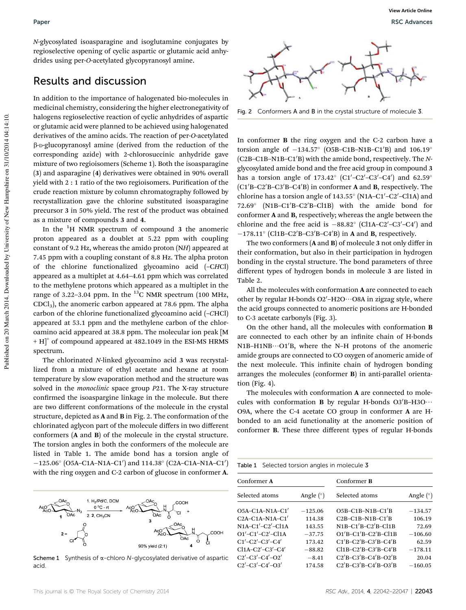*N*-glycosylated isoasparagine and isoglutamine conjugates by regioselective opening of cyclic aspartic or glutamic acid anhydrides using per-*O*-acetylated glycopyranosyl amine.

#### Results and discussion

In addition to the importance of halogenated bio-molecules in medicinal chemistry, considering the higher electronegativity of halogens regioselective reaction of cyclic anhydrides of aspartic or glutamic acid were planned to be achieved using halogenated derivatives of the amino acids. The reaction of per-*O*-acetylated  $\beta$ -D-glucopyranosyl amine (derived from the reduction of the corresponding azide) with 2-chlorosuccinic anhydride gave mixture of two regioisomers (Scheme 1). Both the isoasparagine (3) and asparagine (4) derivatives were obtained in 90% overall yield with  $2:1$  ratio of the two regioisomers. Purification of the crude reaction mixture by column chromatography followed by recrystallization gave the chlorine substituted isoasparagine precursor 3 in 50% yield. The rest of the product was obtained as a mixture of compounds 3 and 4.

In the  ${}^{1}H$  NMR spectrum of compound 3 the anomeric proton appeared as a doublet at 5.22 ppm with coupling constant of 9.2 Hz, whereas the amido proton (N*H*) appeared at 7.45 ppm with a coupling constant of 8.8 Hz. The alpha proton of the chlorine functionalized glycoamino acid (–C*H*Cl) appeared as a multiplet at 4.64–4.61 ppm which was correlated to the methylene protons which appeared as a multiplet in the range of 3.22–3.04 ppm. In the  $^{13}$ C NMR spectrum (100 MHz, CDCl3), the anomeric carbon appeared at 78.6 ppm. The alpha carbon of the chlorine functionalized glycoamino acid (–*C*HCl) appeared at 53.1 ppm and the methylene carbon of the chloroamino acid appeared at 38.8 ppm. The molecular ion peak [M + H]<sup>+</sup> of compound appeared at 482.1049 in the ESI-MS HRMS spectrum.

The chlorinated *N*-linked glycoamino acid 3 was recrystallized from a mixture of ethyl acetate and hexane at room temperature by slow evaporation method and the structure was solved in the *monoclinic* space group *P*21. The X-ray structure confirmed the isoaspargine linkage in the molecule. But there are two different conformations of the molecule in the crystal structure, depicted as A and B in Fig. 2. The conformation of the chlorinated aglycon part of the molecule differs in two different conformers (A and B) of the molecule in the crystal structure. The torsion angles in both the conformers of the molecule are listed in Table 1. The amide bond has a torsion angle of  $-125.06^{\circ}$  (O5A–C1A–N1A–C1') and 114.38° (C2A–C1A–N1A–C1') with the ring oxygen and C-2 carbon of glucose in conformer A.



Scheme 1 Synthesis of  $\alpha$ -chloro N-glycosylated derivative of aspartic acid.



Fig. 2 Conformers A and B in the crystal structure of molecule 3.

In conformer B the ring oxygen and the C-2 carbon have a torsion angle of  $-134.57^{\circ}$  (O5B-C1B-N1B-C1'B) and  $106.19^{\circ}$ (C2B–C1B–N1B–C1<sup>'</sup>B) with the amide bond, respectively. The *N*glycosylated amide bond and the free acid group in compound 3 has a torsion angle of  $173.42^{\circ}$  (C1'-C2'-C3'-C4') and  $62.59^{\circ}$  $(C1/B-C2/B-C3/B-C4'B)$  in conformer A and B, respectively. The chlorine has a torsion angle of 143.55° (N1A-C1'-C2'-Cl1A) and 72.69° (N1B-C1'B-C2'B-Cl1B) with the amide bond for conformer A and B, respectively; whereas the angle between the chlorine and the free acid is  $-88.82^{\circ}$  (Cl1A-C2'-C3'-C4') and  $-178.11^{\circ}$  (Cl1B-C2'B-C3'B-C4'B) in A and B, respectively.

The two conformers (A and B) of molecule 3 not only differ in their conformation, but also in their participation in hydrogen bonding in the crystal structure. The bond parameters of three different types of hydrogen bonds in molecule 3 are listed in Table 2.

All the molecules with conformation A are connected to each other by regular H-bonds O2'-H2O···O8A in zigzag style, where the acid groups connected to anomeric positions are H-bonded to C-3 acetate carbonyls (Fig. 3).

On the other hand, all the molecules with conformation B are connected to each other by an infinite chain of H-bonds  $N1B-H1NB\cdots O1/B$ , where the N-H protons of the anomeric amide groups are connected to CO oxygen of anomeric amide of the next molecule. This infinite chain of hydrogen bonding arranges the molecules (conformer B) in anti-parallel orientation (Fig. 4).

The molecules with conformation A are connected to molecules with conformation **B** by regular H-bonds  $O3'B-H3O\cdots$ O9A, where the C-4 acetate CO group in conformer A are Hbonded to an acid functionality at the anomeric position of conformer B. These three different types of regular H-bonds

Table 1 Selected torsion angles in molecule 3

| Conformer A                   |                  | Conformer <b>B</b>          |                  |
|-------------------------------|------------------|-----------------------------|------------------|
| Selected atoms                | Angle $(^\circ)$ | Selected atoms              | Angle $(^\circ)$ |
| $O5A-C1A-N1A-C1'$             | $-125.06$        | $O5B-C1B-N1B-C1'B$          | $-134.57$        |
| $C2A-C1A-N1A-C1'$             | 114.38           | $C2B-C1B-N1B-C1'B$          | 106.19           |
| $N1A-C1' - C2' - C11A$        | 143.55           | $N1B-C1'B-C2'B-C11B$        | 72.69            |
| $O1' - C1' - C2' - C11A$      | $-37.75$         | $O1/B-C1/B-C2/B-C11B$       | $-106.60$        |
| $C1'$ – $C2'$ – $C3'$ – $C4'$ | 173.42           | $C1'B-C2'B-C3'B-C4'B$       | 62.59            |
| $Cl1A-C2' - C3' - C4'$        | $-88.82$         | $Cl1B-C2'B-C3'B-C4'B$       | $-178.11$        |
| $C2'$ - $C3'$ - $C4'$ - $O2'$ | $-8.41$          | $C2'B - C3'B - C4'B - O2'B$ | 20.04            |
| $C2'$ -C3'-C4'-O3'            | 174.58           | $C2'B - C3'B - C4'B - O3'B$ | $-160.05$        |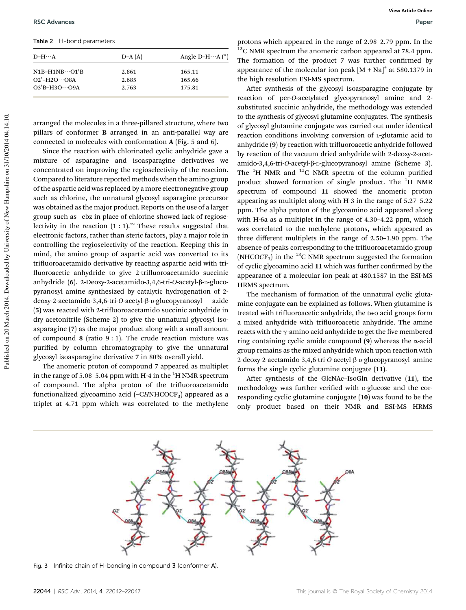Table 2 H-bond parameters

| $D-H\cdots A$                                                   | $D-A(A)$       | Angle D-H $\cdots$ A $(^{\circ})$ |
|-----------------------------------------------------------------|----------------|-----------------------------------|
| $N1B-H1NB\cdots O1/B$                                           | 2.861          | 165.11                            |
| $O2'$ -H <sub>2</sub> O $\cdots$ O8A<br>$O3'B - H3O \cdots O9A$ | 2.685<br>2.763 | 165.66<br>175.81                  |
|                                                                 |                |                                   |

arranged the molecules in a three-pillared structure, where two pillars of conformer B arranged in an anti-parallel way are connected to molecules with conformation A (Fig. 5 and 6).

Since the reaction with chlorinated cyclic anhydride gave a mixture of asparagine and isoasparagine derivatives we concentrated on improving the regioselectivity of the reaction. Compared to literature reported methods when the amino group of the aspartic acid was replaced by a more electronegative group such as chlorine, the unnatural glycosyl asparagine precursor was obtained as the major product. Reports on the use of a larger group such as –cbz in place of chlorine showed lack of regioselectivity in the reaction  $(1 : 1)$ .<sup>19</sup> These results suggested that electronic factors, rather than steric factors, play a major role in controlling the regioselectivity of the reaction. Keeping this in mind, the amino group of aspartic acid was converted to its trifluoroacetamido derivative by reacting aspartic acid with trifluoroacetic anhydride to give 2-trifluoroacetamido succinic anhydride (6). 2-Deoxy-2-acetamido-3,4,6-tri-*O*-acetyl-β-D-glucopyranosyl amine synthesized by catalytic hydrogenation of 2 deoxy-2-acetamido-3,4,6-tri-*O*-acetyl-β-<sub>D</sub>-glucopyranosyl azide (5) was reacted with 2-trifluoroacetamido succinic anhydride in dry acetonitrile (Scheme 2) to give the unnatural glycosyl isoasparagine (7) as the major product along with a small amount of compound 8 (ratio  $9:1$ ). The crude reaction mixture was purified by column chromatography to give the unnatural glycosyl isoasparagine derivative 7 in 80% overall yield.

The anomeric proton of compound 7 appeared as multiplet in the range of 5.08–5.04 ppm with H-4 in the  ${}^{1}$ H NMR spectrum of compound. The alpha proton of the trifluoroacetamido functionalized glycoamino acid (-CHNHCOCF<sub>3</sub>) appeared as a triplet at 4.71 ppm which was correlated to the methylene

protons which appeared in the range of 2.98–2.79 ppm. In the  $13<sup>13</sup>C$  NMR spectrum the anomeric carbon appeared at 78.4 ppm. The formation of the product 7 was further confirmed by appearance of the molecular ion peak  $[M + Na]$ <sup>+</sup> at 580.1379 in the high resolution ESI-MS spectrum.

After synthesis of the glycosyl isoasparagine conjugate by reaction of per-*O*-acetylated glycopyranosyl amine and 2 substituted succinic anhydride, the methodology was extended to the synthesis of glycosyl glutamine conjugates. The synthesis of glycosyl glutamine conjugate was carried out under identical reaction conditions involving conversion of <sup>L</sup>-glutamic acid to anhydride (9) by reaction with trifluoroacetic anhydride followed by reaction of the vacuum dried anhydride with 2-deoxy-2-acetamido-3,4,6-tri-*O*-acetyl-β-<sub>D</sub>-glucopyranosyl amine (Scheme 3). The  ${}^{1}$ H NMR and  ${}^{13}$ C NMR spectra of the column purified product showed formation of single product. The <sup>1</sup>H NMR spectrum of compound 11 showed the anomeric proton appearing as multiplet along with H-3 in the range of 5.27–5.22 ppm. The alpha proton of the glycoamino acid appeared along with H-6a as a multiplet in the range of 4.30–4.22 ppm, which was correlated to the methylene protons, which appeared as three different multiplets in the range of 2.50–1.90 ppm. The absence of peaks corresponding to the trifluoroacetamido group (NHCO $CF_3$ ) in the <sup>13</sup>C NMR spectrum suggested the formation of cyclic glycoamino acid 11 which was further confirmed by the appearance of a molecular ion peak at 480.1587 in the ESI-MS HRMS spectrum.

The mechanism of formation of the unnatural cyclic glutamine conjugate can be explained as follows. When glutamine is treated with trifluoroacetic anhydride, the two acid groups form a mixed anhydride with trifluoroacetic anhydride. The amine reacts with the  $\gamma$ -amino acid anhydride to get the five membered ring containing cyclic amide compound  $(9)$  whereas the  $\alpha$ -acid group remains as the mixed anhydride which upon reaction with 2-deoxy-2-acetamido-3,4,6-tri-*O*-acetyl-β-<sub>D</sub>-glucopyranosyl amine forms the single cyclic glutamine conjugate (11).

After synthesis of the GlcNAc-IsoGln derivative (11), the methodology was further verified with p-glucose and the corresponding cyclic glutamine conjugate (10) was found to be the only product based on their NMR and ESI-MS HRMS



Fig. 3 Infinite chain of H-bonding in compound 3 (conformer A).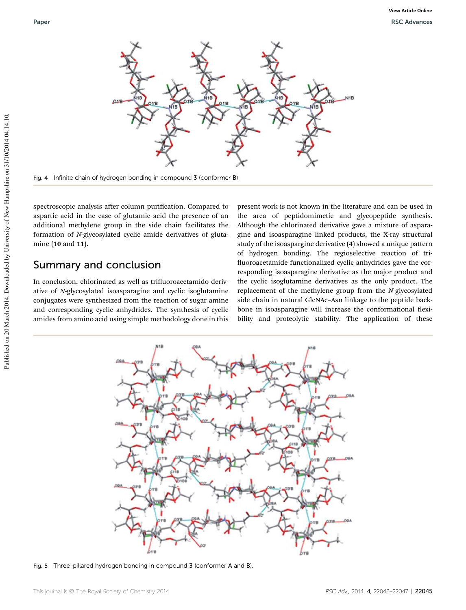

Fig. 4 Infinite chain of hydrogen bonding in compound 3 (conformer B).

spectroscopic analysis after column purification. Compared to aspartic acid in the case of glutamic acid the presence of an additional methylene group in the side chain facilitates the formation of *N*-glycosylated cyclic amide derivatives of glutamine (10 and 11).

#### Summary and conclusion

In conclusion, chlorinated as well as trifluoroacetamido derivative of *N*-glycosylated isoasparagine and cyclic isoglutamine conjugates were synthesized from the reaction of sugar amine and corresponding cyclic anhydrides. The synthesis of cyclic amides from amino acid using simple methodology done in this

present work is not known in the literature and can be used in the area of peptidomimetic and glycopeptide synthesis. Although the chlorinated derivative gave a mixture of asparagine and isoasparagine linked products, the X-ray structural study of the isoaspargine derivative (4) showed a unique pattern of hydrogen bonding. The regioselective reaction of tri fluoroacetamide functionalized cyclic anhydrides gave the corresponding isoasparagine derivative as the major product and the cyclic isoglutamine derivatives as the only product. The replacement of the methylene group from the *N*-glycosylated side chain in natural GlcNAc–Asn linkage to the peptide backbone in isoasparagine will increase the conformational flexibility and proteolytic stability. The application of these



Fig. 5 Three-pillared hydrogen bonding in compound 3 (conformer A and B).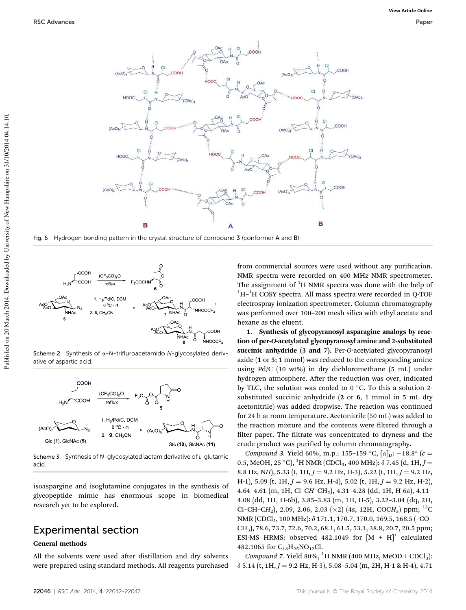

Fig. 6 Hydrogen bonding pattern in the crystal structure of compound 3 (conformer A and B).



Scheme 2 Synthesis of  $\alpha$ -N-trifluroacetamido N-glycosylated derivative of aspartic acid.



Scheme 3 Synthesis of N-glycosylated lactam derivative of L-glutamic acid.

isoaspargine and isoglutamine conjugates in the synthesis of glycopeptide mimic has enormous scope in biomedical research yet to be explored.

# Experimental section

#### General methods

All the solvents were used after distillation and dry solvents were prepared using standard methods. All reagents purchased

from commercial sources were used without any purification. NMR spectra were recorded on 400 MHz NMR spectrometer. The assignment of  ${}^{1}H$  NMR spectra was done with the help of <sup>1</sup>H<sup>-1</sup>H COSY spectra. All mass spectra were recorded in Q-TOF electrospray ionization spectrometer. Column chromatography was performed over 100–200 mesh silica with ethyl acetate and hexane as the eluent.

1. Synthesis of glycopyranosyl asparagine analogs by reaction of per-O-acetylated glycopyranosyl amine and 2-substituted succinic anhydride (3 and 7). Per-*O*-acetylated glycopyranosyl azide (1 or 5; 1 mmol) was reduced to the corresponding amine using Pd/C (10 wt%) in dry dichloromethane (5 mL) under hydrogen atmosphere. After the reduction was over, indicated by TLC, the solution was cooled to  $0^{\circ}$ C. To this a solution 2substituted succinic anhydride (2 or 6, 1 mmol in 5 mL dry acetonitrile) was added dropwise. The reaction was continued for 24 h at room temperature. Acetonitrile (50 mL) was added to the reaction mixture and the contents were filtered through a filter paper. The filtrate was concentrated to dryness and the crude product was purified by column chromatography.

*Compound* 3. Yield 60%, m.p.: 155-159 °C,  $[\alpha]_D$ : -18.8° ( $c =$ 0.5, MeOH, 25 °C), <sup>1</sup>H NMR (CDCl<sub>3</sub>, 400 MHz):  $\delta$  7.45 (d, 1H, *J* = 8.8 Hz, NH), 5.33 (t, 1H,  $J = 9.2$  Hz, H-3), 5.22 (t, 1H,  $J = 9.2$  Hz, H-1), 5.09 (t, 1H,  $J = 9.6$  Hz, H-4), 5.02 (t, 1H,  $J = 9.2$  Hz, H-2), 4.64–4.61 (m, 1H, Cl–C*H*–CH2), 4.31–4.28 (dd, 1H, H-6a), 4.11– 4.08 (dd, 1H, H-6b), 3.85–3.83 (m, 1H, H-5), 3.22–3.04 (dq, 2H, Cl-CH-CH<sub>2</sub>), 2.09, 2.06, 2.03 (×2) (4s, 12H, COCH<sub>3</sub>) ppm; <sup>13</sup>C NMR (CDCl<sub>3</sub>, 100 MHz): δ 171.1, 170.7, 170.0, 169.5, 168.5 (-CO-CH3), 78.6, 73.7, 72.6, 70.2, 68.1, 61.5, 53.1, 38.8, 20.7, 20.5 ppm; ESI-MS HRMS: observed 482.1049 for  $[M + H]^{+}$  calculated 482.1065 for  $C_{18}H_{25}NO_{12}Cl$ .

*Compound* 7. Yield 80%, <sup>1</sup>H NMR (400 MHz, MeOD + CDCl<sub>3</sub>):  $\delta$  5.14 (t, 1H,  $J = 9.2$  Hz, H-3), 5.08–5.04 (m, 2H, H-1 & H-4), 4.71